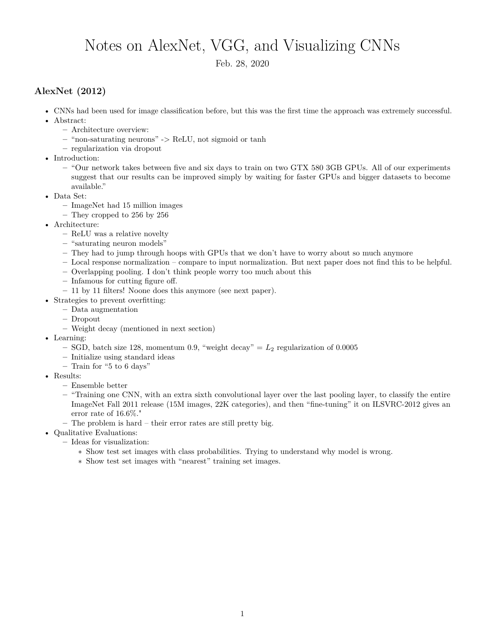## Notes on AlexNet, VGG, and Visualizing CNNs

Feb. 28, 2020

## **AlexNet (2012)**

- CNNs had been used for image classification before, but this was the first time the approach was extremely successful.
- Abstract:
	- **–** Architecture overview:
	- **–** "non-saturating neurons" -> ReLU, not sigmoid or tanh
	- **–** regularization via dropout
- Introduction:
	- **–** "Our network takes between five and six days to train on two GTX 580 3GB GPUs. All of our experiments suggest that our results can be improved simply by waiting for faster GPUs and bigger datasets to become available."
- Data Set:
	- **–** ImageNet had 15 million images
	- **–** They cropped to 256 by 256
- Architecture:
	- **–** ReLU was a relative novelty
	- **–** "saturating neuron models"
	- **–** They had to jump through hoops with GPUs that we don't have to worry about so much anymore
	- **–** Local response normalization compare to input normalization. But next paper does not find this to be helpful.
	- **–** Overlapping pooling. I don't think people worry too much about this
	- **–** Infamous for cutting figure off.
	- **–** 11 by 11 filters! Noone does this anymore (see next paper).
- Strategies to prevent overfitting:
	- **–** Data augmentation
		- **–** Dropout
		- **–** Weight decay (mentioned in next section)
- Learning:
	- **–** SGD, batch size 128, momentum 0.9, "weight decay" = *L*<sup>2</sup> regularization of 0.0005
	- **–** Initialize using standard ideas
	- **–** Train for "5 to 6 days"
- Results:
	- **–** Ensemble better
	- **–** "Training one CNN, with an extra sixth convolutional layer over the last pooling layer, to classify the entire ImageNet Fall 2011 release (15M images, 22K categories), and then "fine-tuning" it on ILSVRC-2012 gives an error rate of 16.6%."
	- **–** The problem is hard their error rates are still pretty big.
- Qualitative Evaluations:
	- **–** Ideas for visualization:
		- ∗ Show test set images with class probabilities. Trying to understand why model is wrong.
		- ∗ Show test set images with "nearest" training set images.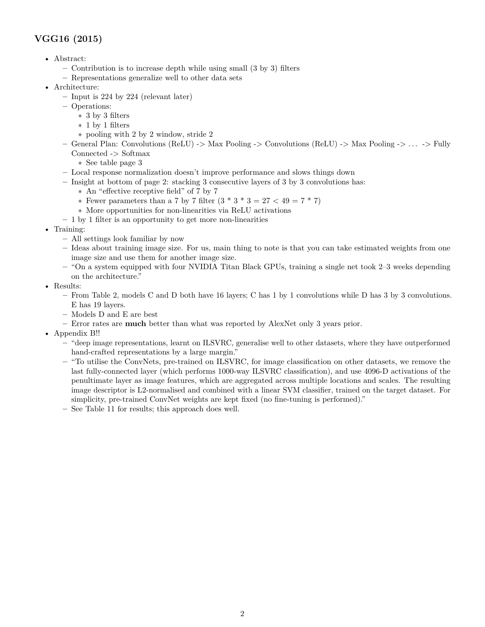## **VGG16 (2015)**

- Abstract:
	- **–** Contribution is to increase depth while using small (3 by 3) filters
	- **–** Representations generalize well to other data sets
- Architecture:
	- **–** Input is 224 by 224 (relevant later)
	- **–** Operations:
		- ∗ 3 by 3 filters
		- ∗ 1 by 1 filters
		- ∗ pooling with 2 by 2 window, stride 2
	- **–** General Plan: Convolutions (ReLU) -> Max Pooling -> Convolutions (ReLU) -> Max Pooling -> . . . -> Fully Connected -> Softmax
		- ∗ See table page 3
	- **–** Local response normalization doesn't improve performance and slows things down
	- **–** Insight at bottom of page 2: stacking 3 consecutive layers of 3 by 3 convolutions has:
		- ∗ An "effective receptive field" of 7 by 7
		- ∗ Fewer parameters than a 7 by 7 filter (3 \* 3 \* 3 = 27 < 49 = 7 \* 7)
		- ∗ More opportunities for non-linearities via ReLU activations
	- **–** 1 by 1 filter is an opportunity to get more non-linearities
- Training:
	- **–** All settings look familiar by now
	- **–** Ideas about training image size. For us, main thing to note is that you can take estimated weights from one image size and use them for another image size.
	- **–** "On a system equipped with four NVIDIA Titan Black GPUs, training a single net took 2–3 weeks depending on the architecture."
- Results:
	- **–** From Table 2, models C and D both have 16 layers; C has 1 by 1 convolutions while D has 3 by 3 convolutions. E has 19 layers.
	- **–** Models D and E are best
	- **–** Error rates are **much** better than what was reported by AlexNet only 3 years prior.
- Appendix B!!
	- **–** "deep image representations, learnt on ILSVRC, generalise well to other datasets, where they have outperformed hand-crafted representations by a large margin."
	- **–** "To utilise the ConvNets, pre-trained on ILSVRC, for image classification on other datasets, we remove the last fully-connected layer (which performs 1000-way ILSVRC classification), and use 4096-D activations of the penultimate layer as image features, which are aggregated across multiple locations and scales. The resulting image descriptor is L2-normalised and combined with a linear SVM classifier, trained on the target dataset. For simplicity, pre-trained ConvNet weights are kept fixed (no fine-tuning is performed)."
	- **–** See Table 11 for results; this approach does well.